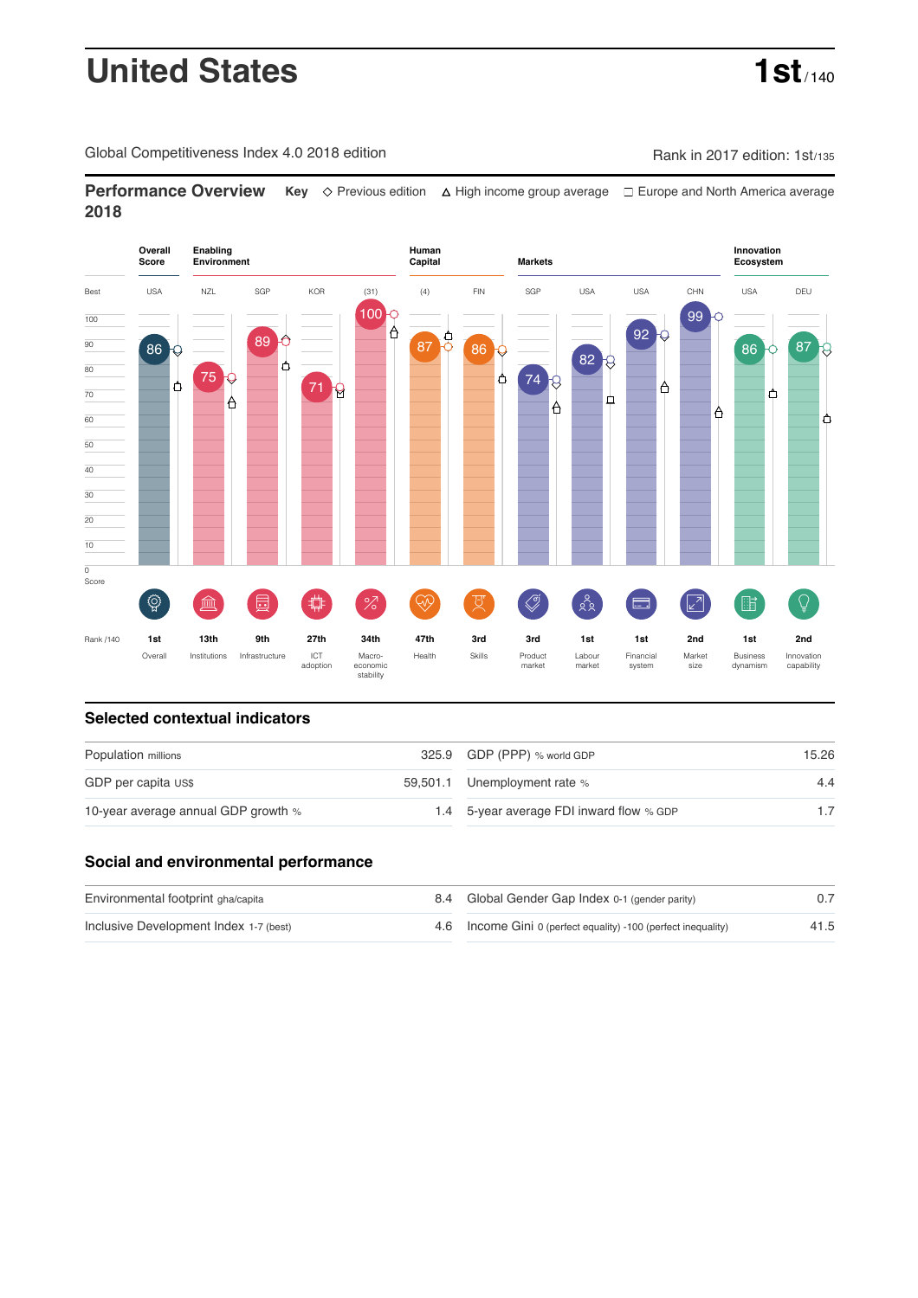# **United States 1st**

Global Competitiveness Index 4.0 2018 edition Rank in 2017 edition: 1st/135

**Performance Overview** Key  $\Diamond$  Previous edition ∆ High income group average  $\Box$  Europe and North America average **2018**



### **Selected contextual indicators**

| Population millions                 | 325.9 GDP (PPP) % world GDP              | 15.26 |  |
|-------------------------------------|------------------------------------------|-------|--|
| GDP per capita US\$                 | 59,501.1 Unemployment rate %             | 4.4   |  |
| 10-year average annual GDP growth % | 1.4 5-year average FDI inward flow % GDP |       |  |

### **Social and environmental performance**

| Environmental footprint gha/capita     | 8.4 Global Gender Gap Index 0-1 (gender parity)                |      |
|----------------------------------------|----------------------------------------------------------------|------|
| Inclusive Development Index 1-7 (best) | 4.6 Income Gini 0 (perfect equality) -100 (perfect inequality) | 41.5 |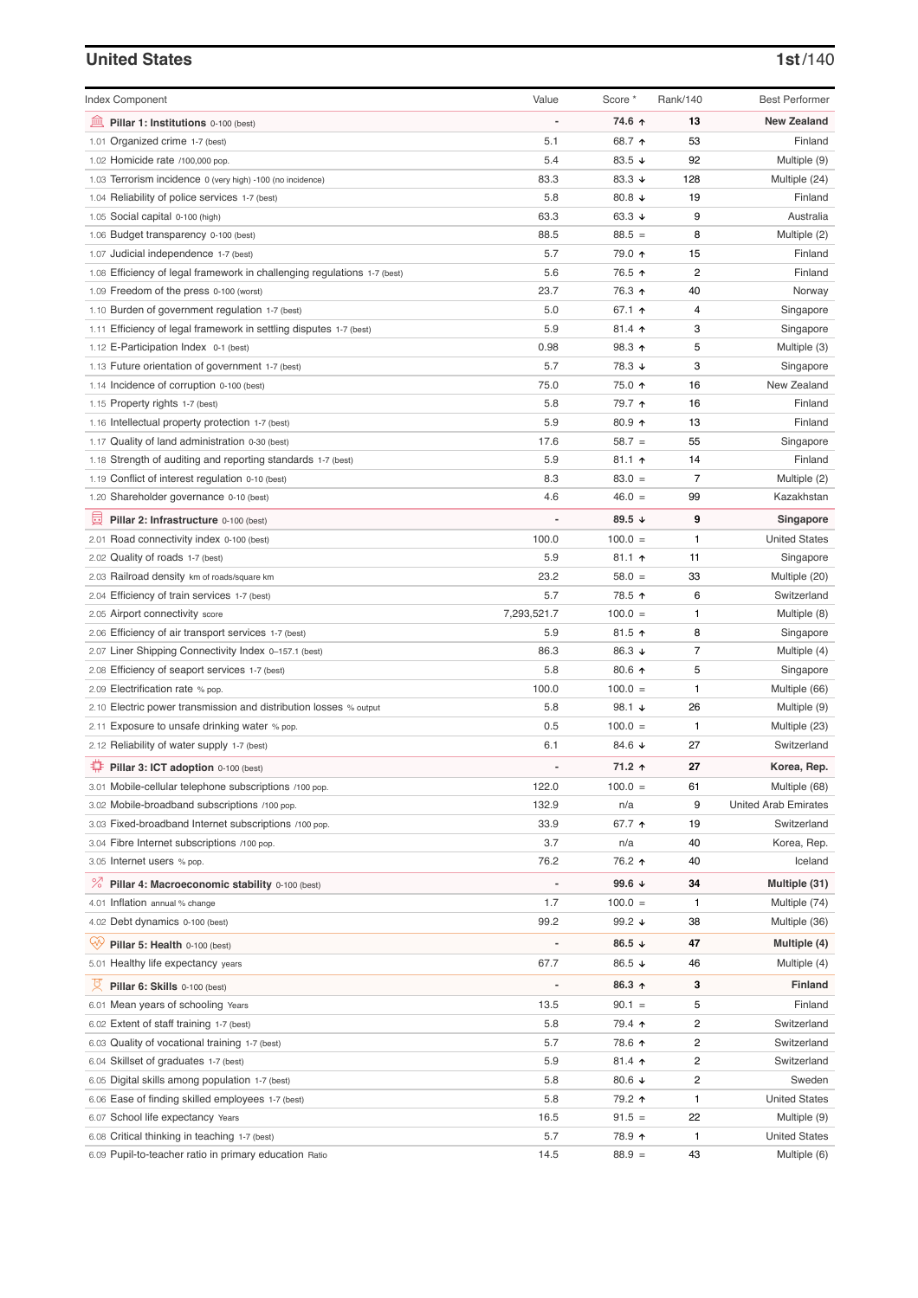## **United States 1st**/140

| <b>Index Component</b>                                                   | Value                        | Score *         | Rank/140 | <b>Best Performer</b>       |
|--------------------------------------------------------------------------|------------------------------|-----------------|----------|-----------------------------|
| 寙<br>Pillar 1: Institutions 0-100 (best)                                 |                              | 74.6 ↑          | 13       | <b>New Zealand</b>          |
| Organized crime 1-7 (best)<br>1.01                                       | 5.1                          | 68.7 ↑          | 53       | Finland                     |
| 1.02 Homicide rate /100,000 pop.                                         | 5.4                          | 83.5 $\sqrt{ }$ | 92       | Multiple (9)                |
| 1.03 Terrorism incidence 0 (very high) -100 (no incidence)               | 83.3                         | 83.3 $\sqrt{ }$ | 128      | Multiple (24)               |
| 1.04 Reliability of police services 1-7 (best)                           | 5.8                          | 80.8 $\sqrt{ }$ | 19       | Finland                     |
| 1.05 Social capital 0-100 (high)                                         | 63.3                         | 63.3 $\sqrt{ }$ | 9        | Australia                   |
| 1.06 Budget transparency 0-100 (best)                                    | 88.5                         | $88.5 =$        | 8        | Multiple (2)                |
| 1.07 Judicial independence 1-7 (best)                                    | 5.7                          | 79.0 ↑          | 15       | Finland                     |
| 1.08 Efficiency of legal framework in challenging regulations 1-7 (best) | 5.6                          | 76.5 ↑          | 2        | Finland                     |
| 1.09 Freedom of the press 0-100 (worst)                                  | 23.7                         | 76.3 ↑          | 40       | Norway                      |
| 1.10 Burden of government regulation 1-7 (best)                          | 5.0                          | 67.1 ↑          | 4        | Singapore                   |
| 1.11 Efficiency of legal framework in settling disputes 1-7 (best)       | 5.9                          | $81.4$ ↑        | 3        | Singapore                   |
| 1.12 E-Participation Index 0-1 (best)                                    | 0.98                         | 98.3 ↑          | 5        | Multiple (3)                |
| 1.13 Future orientation of government 1-7 (best)                         | 5.7                          | 78.3 ↓          | 3        | Singapore                   |
| 1.14 Incidence of corruption 0-100 (best)                                | 75.0                         | 75.0 ↑          | 16       | New Zealand                 |
| 1.15 Property rights 1-7 (best)                                          | 5.8                          | 79.7 ተ          | 16       | Finland                     |
| 1.16 Intellectual property protection 1-7 (best)                         | 5.9                          | $80.9$ 1        | 13       | Finland                     |
| 1.17 Quality of land administration 0-30 (best)                          | 17.6                         | $58.7 =$        | 55       | Singapore                   |
| 1.18 Strength of auditing and reporting standards 1-7 (best)             | 5.9                          | $81.1$ ↑        | 14       | Finland                     |
| 1.19 Conflict of interest regulation 0-10 (best)                         | 8.3                          | $83.0 =$        | 7        | Multiple (2)                |
| 1.20 Shareholder governance 0-10 (best)                                  | 4.6                          | $46.0 =$        | 99       | Kazakhstan                  |
| 員<br>Pillar 2: Infrastructure 0-100 (best)                               |                              | 89.5 ↓          | 9        | Singapore                   |
| 2.01 Road connectivity index 0-100 (best)                                | 100.0                        | $100.0 =$       | 1        | <b>United States</b>        |
| 2.02 Quality of roads 1-7 (best)                                         | 5.9                          | $81.1$ 1        | 11       | Singapore                   |
| 2.03 Railroad density km of roads/square km                              | 23.2                         | $58.0 =$        | 33       | Multiple (20)               |
| 2.04 Efficiency of train services 1-7 (best)                             | 5.7                          | 78.5 ↑          | 6        | Switzerland                 |
| 2.05 Airport connectivity score                                          | 7,293,521.7                  | $100.0 =$       | 1        | Multiple (8)                |
| 2.06 Efficiency of air transport services 1-7 (best)                     | 5.9                          | $81.5$ ↑        | 8        | Singapore                   |
| 2.07 Liner Shipping Connectivity Index 0-157.1 (best)                    | 86.3                         | 86.3 ↓          | 7        | Multiple (4)                |
| 2.08 Efficiency of seaport services 1-7 (best)                           | 5.8                          | 80.6 个          | 5        | Singapore                   |
| 2.09 Electrification rate % pop.                                         | 100.0                        | $100.0 =$       | 1        | Multiple (66)               |
| 2.10 Electric power transmission and distribution losses % output        | 5.8                          | 98.1 ↓          | 26       | Multiple (9)                |
| 2.11 Exposure to unsafe drinking water % pop.                            | 0.5                          | $100.0 =$       | 1        | Multiple (23)               |
| 2.12 Reliability of water supply 1-7 (best)                              | 6.1                          | 84.6 ↓          | 27       | Switzerland                 |
| O<br>Pillar 3: ICT adoption 0-100 (best)                                 |                              | 71.2 ↑          | 27       | Korea, Rep.                 |
| 3.01 Mobile-cellular telephone subscriptions /100 pop.                   | 122.0                        | $100.0 =$       | 61       | Multiple (68)               |
| 3.02 Mobile-broadband subscriptions /100 pop.                            | 132.9                        | n/a             | 9        | <b>United Arab Emirates</b> |
| 3.03 Fixed-broadband Internet subscriptions /100 pop.                    | 33.9                         | 67.7 ↑          | 19       | Switzerland                 |
| 3.04 Fibre Internet subscriptions /100 pop.                              | 3.7                          | n/a             | 40       | Korea, Rep.                 |
| 3.05 Internet users % pop.                                               | 76.2                         | 76.2 ↑          | 40       | Iceland                     |
| $\%$<br>Pillar 4: Macroeconomic stability 0-100 (best)                   | $\qquad \qquad \blacksquare$ | 99.6 $\sqrt{ }$ | 34       | Multiple (31)               |
| 4.01 Inflation annual % change                                           | 1.7                          | $100.0 =$       | 1        | Multiple (74)               |
| 4.02 Debt dynamics 0-100 (best)                                          | 99.2                         | 99.2 $\sqrt{ }$ | 38       | Multiple (36)               |
| Qv<br>Pillar 5: Health 0-100 (best)                                      |                              | 86.5 $\sqrt{ }$ | 47       | Multiple (4)                |
| 5.01 Healthy life expectancy years                                       | 67.7                         | 86.5 ↓          | 46       | Multiple (4)                |
| 섯<br>Pillar 6: Skills 0-100 (best)                                       | $\overline{a}$               | 86.3 ↑          | 3        | Finland                     |
| 6.01 Mean years of schooling Years                                       | 13.5                         | $90.1 =$        | 5        | Finland                     |
| 6.02 Extent of staff training 1-7 (best)                                 | 5.8                          | 79.4 ↑          | 2        | Switzerland                 |
| 6.03 Quality of vocational training 1-7 (best)                           | 5.7                          | 78.6 个          | 2        | Switzerland                 |
| 6.04 Skillset of graduates 1-7 (best)                                    | 5.9                          | 81.4 ተ          | 2        | Switzerland                 |
| 6.05 Digital skills among population 1-7 (best)                          | 5.8                          | 80.6 $\sqrt{ }$ | 2        | Sweden                      |
| 6.06 Ease of finding skilled employees 1-7 (best)                        | 5.8                          | 79.2 ↑          | 1        | <b>United States</b>        |
| 6.07 School life expectancy Years                                        | 16.5                         | $91.5 =$        | 22       | Multiple (9)                |
| 6.08 Critical thinking in teaching 1-7 (best)                            | 5.7                          | 78.9 ↑          | 1        | <b>United States</b>        |
| 6.09 Pupil-to-teacher ratio in primary education Ratio                   | 14.5                         | $88.9 =$        | 43       | Multiple (6)                |